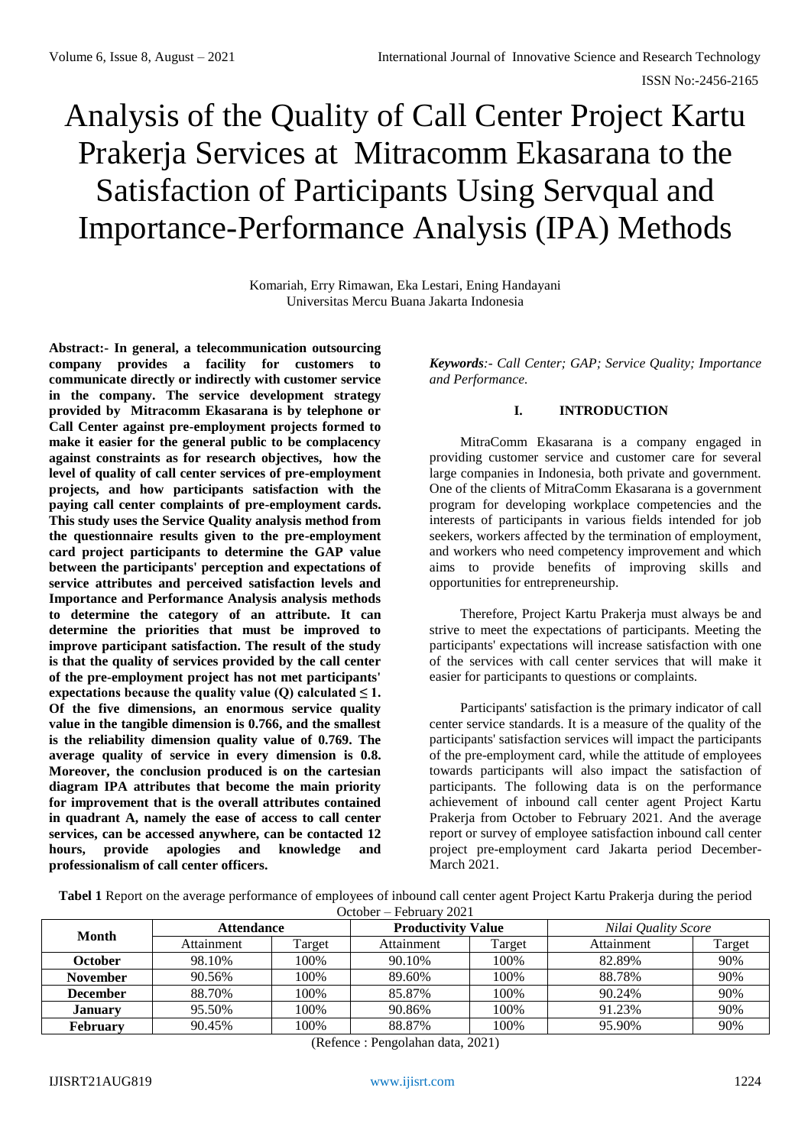# Analysis of the Quality of Call Center Project Kartu Prakerja Services at Mitracomm Ekasarana to the Satisfaction of Participants Using Servqual and Importance-Performance Analysis (IPA) Methods

Komariah, Erry Rimawan, Eka Lestari, Ening Handayani Universitas Mercu Buana Jakarta Indonesia

**Abstract:- In general, a telecommunication outsourcing company provides a facility for customers to communicate directly or indirectly with customer service in the company. The service development strategy provided by Mitracomm Ekasarana is by telephone or Call Center against pre-employment projects formed to make it easier for the general public to be complacency against constraints as for research objectives, how the level of quality of call center services of pre-employment projects, and how participants satisfaction with the paying call center complaints of pre-employment cards. This study uses the Service Quality analysis method from the questionnaire results given to the pre-employment card project participants to determine the GAP value between the participants' perception and expectations of service attributes and perceived satisfaction levels and Importance and Performance Analysis analysis methods to determine the category of an attribute. It can determine the priorities that must be improved to improve participant satisfaction. The result of the study is that the quality of services provided by the call center of the pre-employment project has not met participants'**  expectations because the quality value (Q) calculated  $\leq 1$ . **Of the five dimensions, an enormous service quality value in the tangible dimension is 0.766, and the smallest is the reliability dimension quality value of 0.769. The average quality of service in every dimension is 0.8. Moreover, the conclusion produced is on the cartesian diagram IPA attributes that become the main priority for improvement that is the overall attributes contained in quadrant A, namely the ease of access to call center services, can be accessed anywhere, can be contacted 12 hours, provide apologies and knowledge and professionalism of call center officers.**

*Keywords:- Call Center; GAP; Service Quality; Importance and Performance.*

# **I. INTRODUCTION**

MitraComm Ekasarana is a company engaged in providing customer service and customer care for several large companies in Indonesia, both private and government. One of the clients of MitraComm Ekasarana is a government program for developing workplace competencies and the interests of participants in various fields intended for job seekers, workers affected by the termination of employment, and workers who need competency improvement and which aims to provide benefits of improving skills and opportunities for entrepreneurship.

Therefore, Project Kartu Prakerja must always be and strive to meet the expectations of participants. Meeting the participants' expectations will increase satisfaction with one of the services with call center services that will make it easier for participants to questions or complaints.

Participants' satisfaction is the primary indicator of call center service standards. It is a measure of the quality of the participants' satisfaction services will impact the participants of the pre-employment card, while the attitude of employees towards participants will also impact the satisfaction of participants. The following data is on the performance achievement of inbound call center agent Project Kartu Prakerja from October to February 2021. And the average report or survey of employee satisfaction inbound call center project pre-employment card Jakarta period December-March 2021.

**Tabel 1** Report on the average performance of employees of inbound call center agent Project Kartu Prakerja during the period

October – February 2021

| ------<br>.     |                   |        |                           |        |                     |        |  |  |
|-----------------|-------------------|--------|---------------------------|--------|---------------------|--------|--|--|
| Month           | <b>Attendance</b> |        | <b>Productivity Value</b> |        | Nilai Quality Score |        |  |  |
|                 | Attainment        | Target | Attainment                | Target | Attainment          | Target |  |  |
| October         | 98.10%            | 100%   | 90.10%                    | 100%   | 82.89%              | 90%    |  |  |
| <b>November</b> | 90.56%            | 100%   | 89.60%                    | 100%   | 88.78%              | 90%    |  |  |
| <b>December</b> | 88.70%            | 100%   | 85.87%                    | 100%   | 90.24%              | 90%    |  |  |
| <b>January</b>  | 95.50%            | 100%   | 90.86%                    | 100%   | 91.23%              | 90%    |  |  |
| <b>February</b> | 90.45%            | 100%   | 88.87%                    | 100%   | 95.90%              | 90%    |  |  |

(Refence : Pengolahan data, 2021)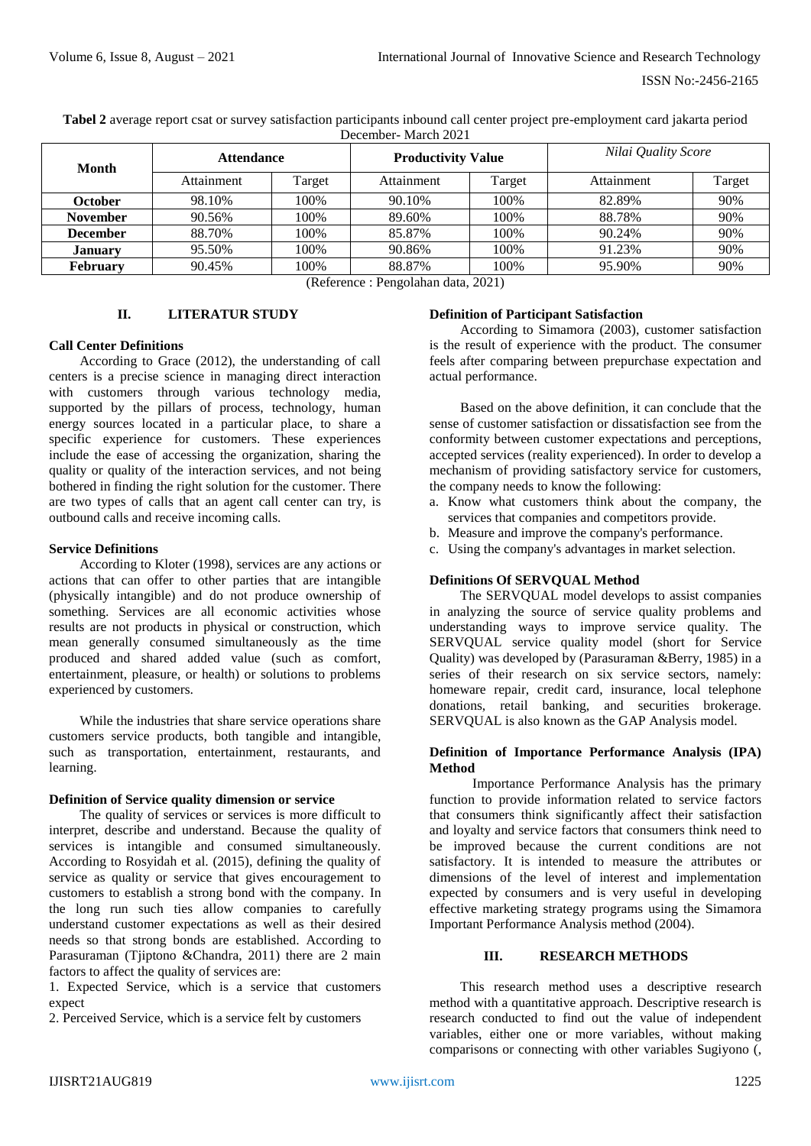**Tabel 2** average report csat or survey satisfaction participants inbound call center project pre-employment card jakarta period December- March 2021

| Month           | <b>Attendance</b> |        | <b>Productivity Value</b> |        | Nilai Quality Score |        |  |
|-----------------|-------------------|--------|---------------------------|--------|---------------------|--------|--|
|                 | Attainment        | Target | Attainment                | Target | Attainment          | Target |  |
| October         | 98.10%            | 100%   | 90.10%                    | 100%   | 82.89%              | 90%    |  |
| <b>November</b> | 90.56%            | 100%   | 89.60%                    | 100%   | 88.78%              | 90%    |  |
| <b>December</b> | 88.70%            | 100%   | 85.87%                    | 100%   | 90.24%              | 90%    |  |
| <b>January</b>  | 95.50%            | 100%   | 90.86%                    | 100%   | 91.23%              | 90%    |  |
| <b>February</b> | 90.45%            | 100%   | 88.87%                    | 100%   | 95.90%              | 90%    |  |

<sup>(</sup>Reference : Pengolahan data, 2021)

# **II. LITERATUR STUDY**

# **Call Center Definitions**

According to Grace (2012), the understanding of call centers is a precise science in managing direct interaction with customers through various technology media, supported by the pillars of process, technology, human energy sources located in a particular place, to share a specific experience for customers. These experiences include the ease of accessing the organization, sharing the quality or quality of the interaction services, and not being bothered in finding the right solution for the customer. There are two types of calls that an agent call center can try, is outbound calls and receive incoming calls.

# **Service Definitions**

According to Kloter (1998), services are any actions or actions that can offer to other parties that are intangible (physically intangible) and do not produce ownership of something. Services are all economic activities whose results are not products in physical or construction, which mean generally consumed simultaneously as the time produced and shared added value (such as comfort, entertainment, pleasure, or health) or solutions to problems experienced by customers.

While the industries that share service operations share customers service products, both tangible and intangible, such as transportation, entertainment, restaurants, and learning.

# **Definition of Service quality dimension or service**

The quality of services or services is more difficult to interpret, describe and understand. Because the quality of services is intangible and consumed simultaneously. According to Rosyidah et al. (2015), defining the quality of service as quality or service that gives encouragement to customers to establish a strong bond with the company. In the long run such ties allow companies to carefully understand customer expectations as well as their desired needs so that strong bonds are established. According to Parasuraman (Tjiptono &Chandra, 2011) there are 2 main factors to affect the quality of services are:

1. Expected Service, which is a service that customers expect

2. Perceived Service, which is a service felt by customers

# **Definition of Participant Satisfaction**

According to Simamora (2003), customer satisfaction is the result of experience with the product. The consumer feels after comparing between prepurchase expectation and actual performance.

Based on the above definition, it can conclude that the sense of customer satisfaction or dissatisfaction see from the conformity between customer expectations and perceptions, accepted services (reality experienced). In order to develop a mechanism of providing satisfactory service for customers, the company needs to know the following:

- a. Know what customers think about the company, the services that companies and competitors provide.
- b. Measure and improve the company's performance.
- c. Using the company's advantages in market selection.

# **Definitions Of SERVQUAL Method**

The SERVQUAL model develops to assist companies in analyzing the source of service quality problems and understanding ways to improve service quality. The SERVQUAL service quality model (short for Service Quality) was developed by (Parasuraman &Berry, 1985) in a series of their research on six service sectors, namely: homeware repair, credit card, insurance, local telephone donations, retail banking, and securities brokerage. SERVQUAL is also known as the GAP Analysis model.

### **Definition of Importance Performance Analysis (IPA) Method**

Importance Performance Analysis has the primary function to provide information related to service factors that consumers think significantly affect their satisfaction and loyalty and service factors that consumers think need to be improved because the current conditions are not satisfactory. It is intended to measure the attributes or dimensions of the level of interest and implementation expected by consumers and is very useful in developing effective marketing strategy programs using the Simamora Important Performance Analysis method (2004).

# **III. RESEARCH METHODS**

This research method uses a descriptive research method with a quantitative approach. Descriptive research is research conducted to find out the value of independent variables, either one or more variables, without making comparisons or connecting with other variables Sugiyono (,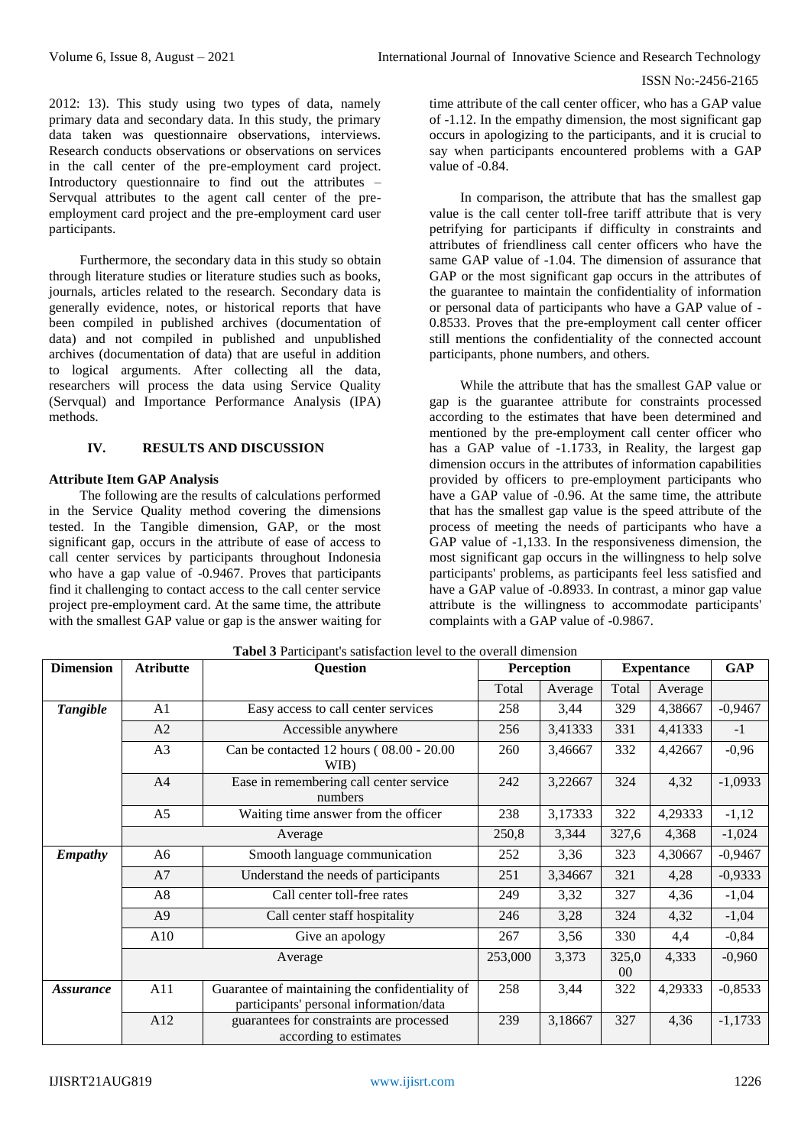2012: 13). This study using two types of data, namely primary data and secondary data. In this study, the primary data taken was questionnaire observations, interviews. Research conducts observations or observations on services in the call center of the pre-employment card project. Introductory questionnaire to find out the attributes – Servqual attributes to the agent call center of the preemployment card project and the pre-employment card user participants.

Furthermore, the secondary data in this study so obtain through literature studies or literature studies such as books, journals, articles related to the research. Secondary data is generally evidence, notes, or historical reports that have been compiled in published archives (documentation of data) and not compiled in published and unpublished archives (documentation of data) that are useful in addition to logical arguments. After collecting all the data, researchers will process the data using Service Quality (Servqual) and Importance Performance Analysis (IPA) methods.

# **IV. RESULTS AND DISCUSSION**

# **Attribute Item GAP Analysis**

The following are the results of calculations performed in the Service Quality method covering the dimensions tested. In the Tangible dimension, GAP, or the most significant gap, occurs in the attribute of ease of access to call center services by participants throughout Indonesia who have a gap value of -0.9467. Proves that participants find it challenging to contact access to the call center service project pre-employment card. At the same time, the attribute with the smallest GAP value or gap is the answer waiting for

time attribute of the call center officer, who has a GAP value of -1.12. In the empathy dimension, the most significant gap occurs in apologizing to the participants, and it is crucial to say when participants encountered problems with a GAP value of -0.84.

In comparison, the attribute that has the smallest gap value is the call center toll-free tariff attribute that is very petrifying for participants if difficulty in constraints and attributes of friendliness call center officers who have the same GAP value of -1.04. The dimension of assurance that GAP or the most significant gap occurs in the attributes of the guarantee to maintain the confidentiality of information or personal data of participants who have a GAP value of - 0.8533. Proves that the pre-employment call center officer still mentions the confidentiality of the connected account participants, phone numbers, and others.

While the attribute that has the smallest GAP value or gap is the guarantee attribute for constraints processed according to the estimates that have been determined and mentioned by the pre-employment call center officer who has a GAP value of -1.1733, in Reality, the largest gap dimension occurs in the attributes of information capabilities provided by officers to pre-employment participants who have a GAP value of -0.96. At the same time, the attribute that has the smallest gap value is the speed attribute of the process of meeting the needs of participants who have a GAP value of -1,133. In the responsiveness dimension, the most significant gap occurs in the willingness to help solve participants' problems, as participants feel less satisfied and have a GAP value of -0.8933. In contrast, a minor gap value attribute is the willingness to accommodate participants' complaints with a GAP value of -0.9867.

| <b>Dimension</b> | <b>Atributte</b>                                                     | <b>There</b> is a material of substance of the collection control of the collection of<br><b>Question</b> | <b>Perception</b> |         | <b>Expentance</b>       | <b>GAP</b> |           |
|------------------|----------------------------------------------------------------------|-----------------------------------------------------------------------------------------------------------|-------------------|---------|-------------------------|------------|-----------|
|                  |                                                                      |                                                                                                           | Total             | Average | Total                   | Average    |           |
| <b>Tangible</b>  | A <sub>1</sub>                                                       | Easy access to call center services                                                                       | 258               | 3,44    | 329                     | 4,38667    | $-0,9467$ |
|                  | A2                                                                   | Accessible anywhere                                                                                       | 256               | 3,41333 | 331                     | 4,41333    | $-1$      |
|                  | A3                                                                   | Can be contacted 12 hours (08.00 - 20.00<br>WIB)                                                          | 260               | 3,46667 | 332                     | 4,42667    | $-0,96$   |
|                  | A <sup>4</sup><br>Ease in remembering call center service<br>numbers |                                                                                                           |                   | 3,22667 | 324                     | 4,32       | $-1,0933$ |
|                  | A <sub>5</sub>                                                       | Waiting time answer from the officer                                                                      | 238               | 3,17333 | 322                     | 4,29333    | $-1,12$   |
|                  | Average                                                              |                                                                                                           | 250,8             | 3,344   | 327,6                   | 4,368      | $-1,024$  |
| <b>Empathy</b>   | A6                                                                   | Smooth language communication                                                                             | 252               | 3,36    | 323                     | 4,30667    | $-0,9467$ |
|                  | A7                                                                   | Understand the needs of participants                                                                      | 251               | 3,34667 | 321                     | 4,28       | $-0,9333$ |
|                  | A8                                                                   | Call center toll-free rates                                                                               | 249               | 3,32    | 327                     | 4,36       | $-1,04$   |
|                  | A <sup>9</sup>                                                       | Call center staff hospitality                                                                             | 246               | 3,28    | 324                     | 4,32       | $-1,04$   |
|                  | A10                                                                  | Give an apology                                                                                           | 267               | 3,56    | 330                     | 4,4        | $-0,84$   |
|                  | Average                                                              |                                                                                                           | 253,000           | 3,373   | 325,0<br>0 <sup>0</sup> | 4,333      | $-0,960$  |
| <i>Assurance</i> | A11                                                                  | Guarantee of maintaining the confidentiality of<br>participants' personal information/data                | 258               | 3,44    | 322                     | 4,29333    | $-0,8533$ |
|                  | A12                                                                  | guarantees for constraints are processed<br>according to estimates                                        | 239               | 3,18667 | 327                     | 4,36       | $-1,1733$ |

**Tabel 3** Participant's satisfaction level to the overall dimension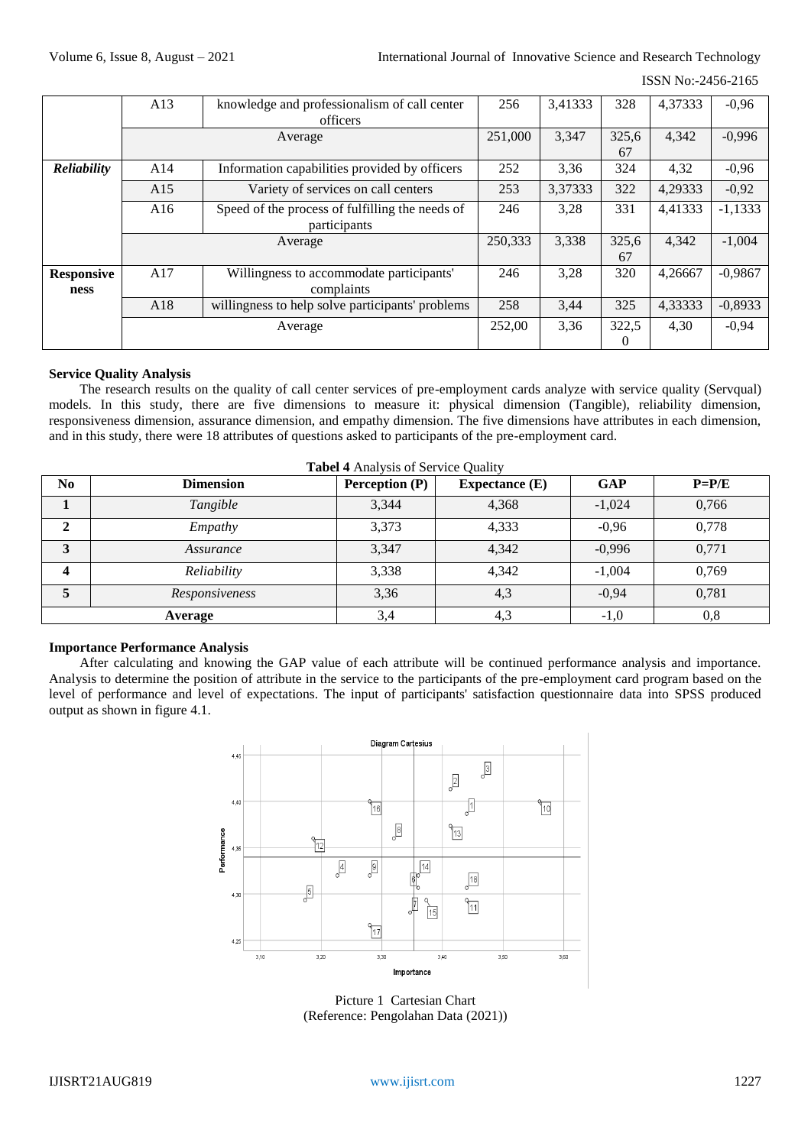#### ISSN No:-2456-2165

|                   | knowledge and professionalism of call center<br>A13    |                                                  | 256     | 3,41333 | 328      | 4,37333 | $-0,96$   |
|-------------------|--------------------------------------------------------|--------------------------------------------------|---------|---------|----------|---------|-----------|
|                   | officers                                               |                                                  |         |         |          |         |           |
|                   |                                                        | Average                                          | 251,000 | 3,347   | 325,6    | 4,342   | $-0,996$  |
|                   |                                                        |                                                  |         |         | 67       |         |           |
| Reliability       | A14<br>Information capabilities provided by officers   |                                                  | 252     | 3,36    | 324      | 4,32    | $-0,96$   |
|                   | A15                                                    | Variety of services on call centers              | 253     | 3,37333 | 322      | 4,29333 | $-0,92$   |
|                   | Speed of the process of fulfilling the needs of<br>A16 |                                                  | 246     | 3,28    | 331      | 4,41333 | $-1,1333$ |
|                   | participants                                           |                                                  |         |         |          |         |           |
|                   | Average                                                |                                                  | 250,333 | 3,338   | 325,6    | 4.342   | $-1,004$  |
|                   |                                                        |                                                  |         |         | 67       |         |           |
| <b>Responsive</b> | A17<br>Willingness to accommodate participants'        |                                                  | 246     | 3,28    | 320      | 4.26667 | $-0,9867$ |
| ness              | complaints                                             |                                                  |         |         |          |         |           |
|                   | A18                                                    | willingness to help solve participants' problems | 258     | 3,44    | 325      | 4,33333 | $-0,8933$ |
|                   | Average                                                |                                                  | 252,00  | 3,36    | 322,5    | 4,30    | $-0,94$   |
|                   |                                                        |                                                  |         |         | $\Omega$ |         |           |

#### **Service Quality Analysis**

The research results on the quality of call center services of pre-employment cards analyze with service quality (Servqual) models. In this study, there are five dimensions to measure it: physical dimension (Tangible), reliability dimension, responsiveness dimension, assurance dimension, and empathy dimension. The five dimensions have attributes in each dimension, and in this study, there were 18 attributes of questions asked to participants of the pre-employment card.

| <b>Tabel 4 Analysis of Service Quality</b> |                  |                |                       |            |            |  |  |
|--------------------------------------------|------------------|----------------|-----------------------|------------|------------|--|--|
| N <sub>0</sub>                             | <b>Dimension</b> | Perception (P) | <b>Expectance</b> (E) | <b>GAP</b> | $P=$ $P/E$ |  |  |
|                                            | Tangible         | 3,344          | 4,368                 | $-1,024$   | 0,766      |  |  |
|                                            | Empathy          | 3,373          | 4,333                 | $-0.96$    | 0,778      |  |  |
| 3                                          | Assurance        | 3,347          | 4,342                 | $-0,996$   | 0,771      |  |  |
| 4                                          | Reliability      | 3,338          | 4,342                 | $-1,004$   | 0.769      |  |  |
| 5                                          | Responsiveness   | 3,36           | 4,3                   | $-0.94$    | 0,781      |  |  |
|                                            | Average          | 3,4            | 4,3                   | $-1,0$     | 0,8        |  |  |

# **Importance Performance Analysis**

After calculating and knowing the GAP value of each attribute will be continued performance analysis and importance. Analysis to determine the position of attribute in the service to the participants of the pre-employment card program based on the level of performance and level of expectations. The input of participants' satisfaction questionnaire data into SPSS produced output as shown in figure 4.1.



Picture 1 Cartesian Chart (Reference: Pengolahan Data (2021))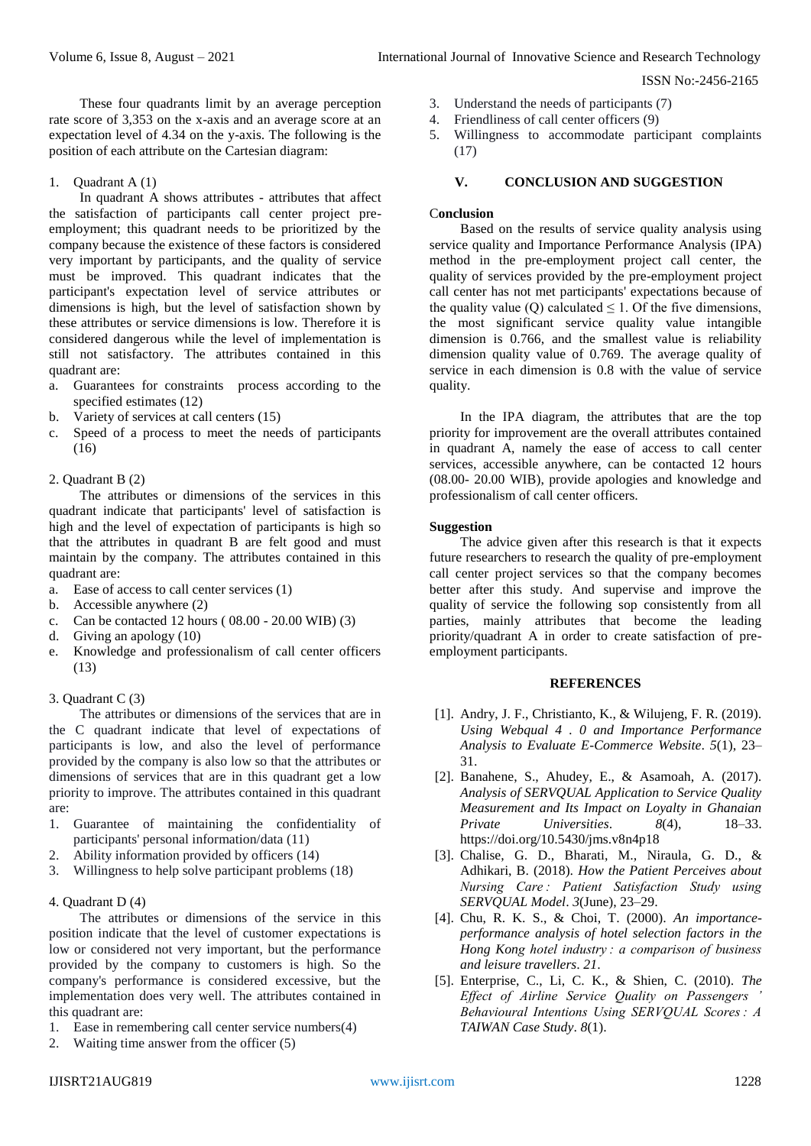ISSN No:-2456-2165

These four quadrants limit by an average perception rate score of 3,353 on the x-axis and an average score at an expectation level of 4.34 on the y-axis. The following is the position of each attribute on the Cartesian diagram:

1. Quadrant A (1)

In quadrant A shows attributes - attributes that affect the satisfaction of participants call center project preemployment; this quadrant needs to be prioritized by the company because the existence of these factors is considered very important by participants, and the quality of service must be improved. This quadrant indicates that the participant's expectation level of service attributes or dimensions is high, but the level of satisfaction shown by these attributes or service dimensions is low. Therefore it is considered dangerous while the level of implementation is still not satisfactory. The attributes contained in this quadrant are:

- a. Guarantees for constraints process according to the specified estimates (12)
- b. Variety of services at call centers (15)
- c. Speed of a process to meet the needs of participants (16)

# 2. Quadrant B (2)

The attributes or dimensions of the services in this quadrant indicate that participants' level of satisfaction is high and the level of expectation of participants is high so that the attributes in quadrant B are felt good and must maintain by the company. The attributes contained in this quadrant are:

- a. Ease of access to call center services (1)
- b. Accessible anywhere (2)
- c. Can be contacted 12 hours ( 08.00 20.00 WIB) (3)
- d. Giving an apology (10)
- e. Knowledge and professionalism of call center officers (13)

## 3. Quadrant C (3)

The attributes or dimensions of the services that are in the C quadrant indicate that level of expectations of participants is low, and also the level of performance provided by the company is also low so that the attributes or dimensions of services that are in this quadrant get a low priority to improve. The attributes contained in this quadrant are:

- 1. Guarantee of maintaining the confidentiality of participants' personal information/data (11)
- 2. Ability information provided by officers (14)
- 3. Willingness to help solve participant problems (18)

# 4. Quadrant D (4)

The attributes or dimensions of the service in this position indicate that the level of customer expectations is low or considered not very important, but the performance provided by the company to customers is high. So the company's performance is considered excessive, but the implementation does very well. The attributes contained in this quadrant are:

- 1. Ease in remembering call center service numbers(4)
- 2. Waiting time answer from the officer (5)
- 3. Understand the needs of participants (7)
- 4. Friendliness of call center officers (9)
- 5. Willingness to accommodate participant complaints (17)

## **V. CONCLUSION AND SUGGESTION**

#### C**onclusion**

Based on the results of service quality analysis using service quality and Importance Performance Analysis (IPA) method in the pre-employment project call center, the quality of services provided by the pre-employment project call center has not met participants' expectations because of the quality value (Q) calculated  $\leq 1$ . Of the five dimensions, the most significant service quality value intangible dimension is 0.766, and the smallest value is reliability dimension quality value of 0.769. The average quality of service in each dimension is 0.8 with the value of service quality.

In the IPA diagram, the attributes that are the top priority for improvement are the overall attributes contained in quadrant A, namely the ease of access to call center services, accessible anywhere, can be contacted 12 hours (08.00- 20.00 WIB), provide apologies and knowledge and professionalism of call center officers.

# **Suggestion**

The advice given after this research is that it expects future researchers to research the quality of pre-employment call center project services so that the company becomes better after this study. And supervise and improve the quality of service the following sop consistently from all parties, mainly attributes that become the leading priority/quadrant A in order to create satisfaction of preemployment participants.

#### **REFERENCES**

- [1]. Andry, J. F., Christianto, K., & Wilujeng, F. R. (2019). *Using Webqual 4 . 0 and Importance Performance Analysis to Evaluate E-Commerce Website*. *5*(1), 23– 31.
- [2]. Banahene, S., Ahudey, E., & Asamoah, A. (2017). *Analysis of SERVQUAL Application to Service Quality Measurement and Its Impact on Loyalty in Ghanaian Private Universities*. *8*(4), 18–33. https://doi.org/10.5430/jms.v8n4p18
- [3]. Chalise, G. D., Bharati, M., Niraula, G. D., & Adhikari, B. (2018). *How the Patient Perceives about Nursing Care : Patient Satisfaction Study using SERVQUAL Model*. *3*(June), 23–29.
- [4]. Chu, R. K. S., & Choi, T. (2000). *An importanceperformance analysis of hotel selection factors in the Hong Kong hotel industry : a comparison of business and leisure travellers*. *21*.
- [5]. Enterprise, C., Li, C. K., & Shien, C. (2010). *The Effect of Airline Service Quality on Passengers ' Behavioural Intentions Using SERVQUAL Scores : A TAIWAN Case Study*. *8*(1).